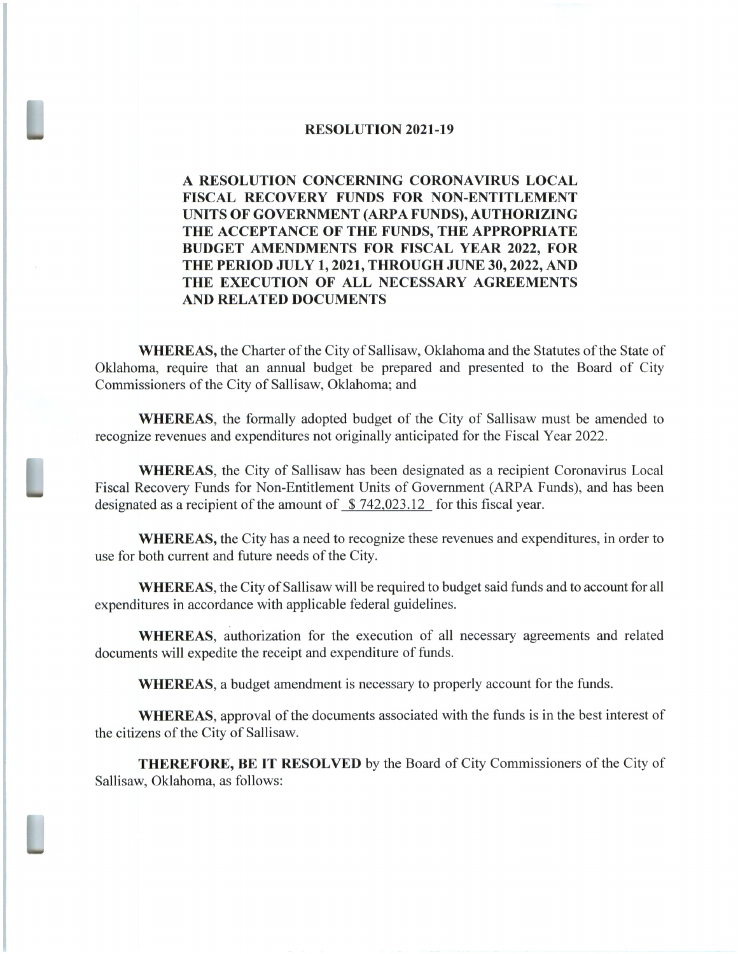## RESOLUTION 2021-19

## A RESOLUTION CONCERNING CORONAVIRUS LOCAL FISCAL RECOVERY FUNDS FOR NON-ENTITLEMENT UNITS OF GOVERNMENT( ARPA FUNDS), AUTHORIZING THE ACCEPTANCE OF THE FUNDS, THE APPROPRIATE BUDGET AMENDMENTS FOR FISCAL YEAR 2022, FOR THE PERIOD JULY 1, 2021, THROUGH JUNE 30, 2022, AND THE EXECUTION OF ALL NECESSARY AGREEMENTS AND RELATED DOCUMENTS

WHEREAS, the Charter of the City of Sallisaw, Oklahoma and the Statutes of the State of Oklahoma, require that an annual budget be prepared and presented to the Board of City Commissioners of the City of Sallisaw, Oklahoma; and

WHEREAS, the formally adopted budget of the City of Sallisaw must be amended to recognize revenues and expenditures not originally anticipated for the Fiscal Year 2022.

WHEREAS, the City of Sallisaw has been designated as <sup>a</sup> recipient Coronavirus Local Fiscal Recovery Funds for Non-Entitlement Units of Government (ARPA Funds), and has been designated as a recipient of the amount of \$742,023.12 for this fiscal year.

WHEREAS, the City has a need to recognize these revenues and expenditures, in order to use for both current and future needs of the City.

WHEREAS, the City of Sallisaw will be required to budget said funds and to account for all expenditures in accordance with applicable federal guidelines.

WHEREAS, authorization for the execution of all necessary agreements and related documents will expedite the receipt and expenditure of funds.

WHEREAS, a budget amendment is necessary to properly account for the funds.

WHEREAS, approval of the documents associated with the funds is in the best interest of the citizens of the City of Sallisaw.

THEREFORE, BE IT RESOLVED by the Board of City Commissioners of the City of Sallisaw, Oklahoma, as follows: